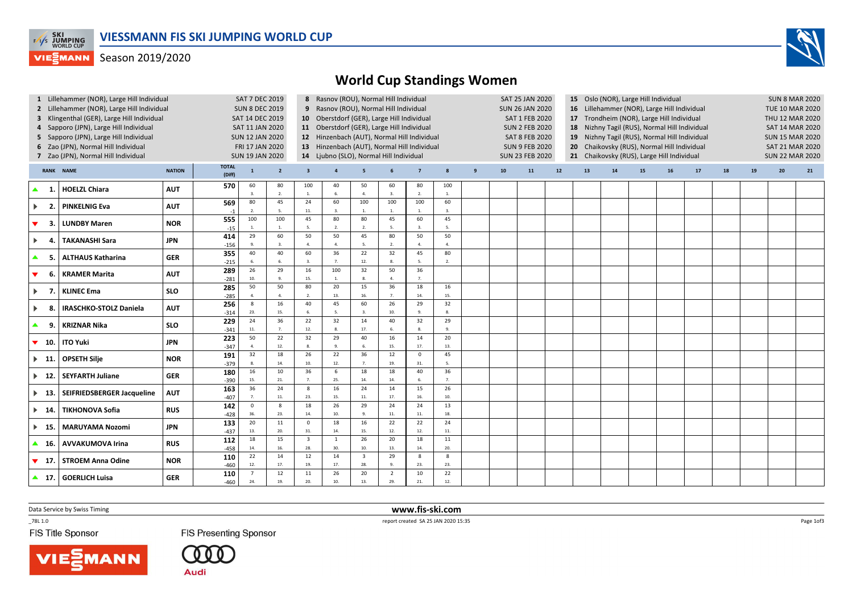

## **VIESMANN** Season 2019/2020



| 1 Lillehammer (NOR), Large Hill Individual<br>2 Lillehammer (NOR), Large Hill Individual<br>3 Klingenthal (GER), Large Hill Individual<br>4 Sapporo (JPN), Large Hill Individual<br>5 Sapporo (JPN), Large Hill Individual<br>6 Zao (JPN), Normal Hill Individual<br>7 Zao (JPN), Normal Hill Individual |     |                               |               |                        | <b>SAT 7 DEC 2019</b><br><b>SUN 8 DEC 2019</b><br>SAT 14 DEC 2019<br>SAT 11 JAN 2020<br><b>SUN 12 JAN 2020</b><br>FRI 17 JAN 2020<br><b>SUN 19 JAN 2020</b> |                         |                                | 8 Rasnov (ROU), Normal Hill Individual<br>9 Rasnov (ROU), Normal Hill Individual<br>10 Oberstdorf (GER), Large Hill Individual<br>11 Oberstdorf (GER), Large Hill Individual<br>12 Hinzenbach (AUT), Normal Hill Individual<br>13 Hinzenbach (AUT), Normal Hill Individual<br>14 Ljubno (SLO), Normal Hill Individual |                                |                        |                         |                      |   | SAT 25 JAN 2020<br><b>SUN 26 JAN 2020</b><br>SAT 1 FEB 2020<br><b>SUN 2 FEB 2020</b><br><b>SAT 8 FEB 2020</b><br><b>SUN 9 FEB 2020</b><br><b>SUN 23 FEB 2020</b> |    |        | 15 Oslo (NOR), Large Hill Individual<br>16 Lillehammer (NOR), Large Hill Individual<br>17 Trondheim (NOR), Large Hill Individual<br>18 Nizhny Tagil (RUS), Normal Hill Individual<br>19 Nizhny Tagil (RUS), Normal Hill Individual<br>Chaikovsky (RUS), Normal Hill Individual<br>20 <sub>2</sub><br>21 Chaikovsky (RUS), Large Hill Individual |            |    |    |    |    | <b>SUN 8 MAR 2020</b><br><b>TUE 10 MAR 2020</b><br>THU 12 MAR 2020<br><b>SAT 14 MAR 2020</b><br><b>SUN 15 MAR 2020</b><br><b>SAT 21 MAR 2020</b><br><b>SUN 22 MAR 2020</b> |    |    |  |
|----------------------------------------------------------------------------------------------------------------------------------------------------------------------------------------------------------------------------------------------------------------------------------------------------------|-----|-------------------------------|---------------|------------------------|-------------------------------------------------------------------------------------------------------------------------------------------------------------|-------------------------|--------------------------------|-----------------------------------------------------------------------------------------------------------------------------------------------------------------------------------------------------------------------------------------------------------------------------------------------------------------------|--------------------------------|------------------------|-------------------------|----------------------|---|------------------------------------------------------------------------------------------------------------------------------------------------------------------|----|--------|-------------------------------------------------------------------------------------------------------------------------------------------------------------------------------------------------------------------------------------------------------------------------------------------------------------------------------------------------|------------|----|----|----|----|----------------------------------------------------------------------------------------------------------------------------------------------------------------------------|----|----|--|
|                                                                                                                                                                                                                                                                                                          |     | <b>RANK NAME</b>              | <b>NATION</b> | <b>TOTAL</b><br>(Diff) | $\mathbf{1}$                                                                                                                                                | $\overline{\mathbf{2}}$ | $\overline{\mathbf{3}}$        | $\overline{4}$                                                                                                                                                                                                                                                                                                        | 5                              | 6                      | $\overline{7}$          | 8                    | 9 | 10                                                                                                                                                               | 11 | $12\,$ | 13                                                                                                                                                                                                                                                                                                                                              | ${\bf 14}$ | 15 | 16 | 17 | 18 | 19                                                                                                                                                                         | 20 | 21 |  |
| ▲                                                                                                                                                                                                                                                                                                        | -1  | <b>HOELZL Chiara</b>          | <b>AUT</b>    | 570                    | 60<br>3.                                                                                                                                                    | 80<br>$\overline{2}$    | 100<br>1.                      | 40<br>6.                                                                                                                                                                                                                                                                                                              | 50<br>$\overline{a}$           | 60<br>$\overline{3}$ . | 80<br>$\overline{2}$    | 100<br>1.            |   |                                                                                                                                                                  |    |        |                                                                                                                                                                                                                                                                                                                                                 |            |    |    |    |    |                                                                                                                                                                            |    |    |  |
| $\blacktriangleright$                                                                                                                                                                                                                                                                                    | -2. | <b>PINKELNIG Eva</b>          | <b>AUT</b>    | 569<br>$-1$            | 80<br>2.                                                                                                                                                    | 45<br>5                 | 24<br>$11.$                    | 60<br>3.                                                                                                                                                                                                                                                                                                              | 100<br>$\overline{1}$          | 100<br>1.              | 100<br>$\overline{1}$ . | 60<br>3.             |   |                                                                                                                                                                  |    |        |                                                                                                                                                                                                                                                                                                                                                 |            |    |    |    |    |                                                                                                                                                                            |    |    |  |
| $\blacktriangledown$                                                                                                                                                                                                                                                                                     | 3.  | <b>LUNDBY Maren</b>           | <b>NOR</b>    | 555<br>$-15$           | 100<br>$1. \,$                                                                                                                                              | 100<br>$\overline{1}$   | 45<br>5.                       | 80<br>2.                                                                                                                                                                                                                                                                                                              | 80<br>$\overline{2}$           | 45<br>5.               | 60<br>3.                | 45<br>5.             |   |                                                                                                                                                                  |    |        |                                                                                                                                                                                                                                                                                                                                                 |            |    |    |    |    |                                                                                                                                                                            |    |    |  |
| $\blacktriangleright$                                                                                                                                                                                                                                                                                    | 4.  | <b>TAKANASHI Sara</b>         | JPN           | 414<br>$-156$          | 29<br>9.                                                                                                                                                    | 60<br>$\overline{3}$    | 50<br>4.                       | 50<br>$\mathbf{A}$                                                                                                                                                                                                                                                                                                    | 45<br>-5.                      | 80<br>2.               | 50<br>$\Delta$          | 50<br>$\overline{a}$ |   |                                                                                                                                                                  |    |        |                                                                                                                                                                                                                                                                                                                                                 |            |    |    |    |    |                                                                                                                                                                            |    |    |  |
| $\blacktriangle$                                                                                                                                                                                                                                                                                         | -5. | <b>ALTHAUS Katharina</b>      | <b>GER</b>    | 355<br>$-215$          | 40<br>6.                                                                                                                                                    | 40<br>6                 | 60<br>3.                       | 36<br>7.                                                                                                                                                                                                                                                                                                              | 22<br>12.                      | 32<br>8.               | 45<br>5.                | 80<br>$\overline{2}$ |   |                                                                                                                                                                  |    |        |                                                                                                                                                                                                                                                                                                                                                 |            |    |    |    |    |                                                                                                                                                                            |    |    |  |
| $\blacktriangledown$                                                                                                                                                                                                                                                                                     | 6.  | <b>KRAMER Marita</b>          | <b>AUT</b>    | 289<br>$-281$          | 26<br>10.                                                                                                                                                   | 29                      | 16<br>15.                      | 100<br>1.                                                                                                                                                                                                                                                                                                             | 32<br>8.                       | 50<br>4.               | 36<br>7 <sup>2</sup>    |                      |   |                                                                                                                                                                  |    |        |                                                                                                                                                                                                                                                                                                                                                 |            |    |    |    |    |                                                                                                                                                                            |    |    |  |
| $\blacktriangleright$                                                                                                                                                                                                                                                                                    | 7.  | <b>KLINEC Ema</b>             | <b>SLO</b>    | 285<br>$-285$          | 50<br>4.                                                                                                                                                    | 50<br>$\overline{4}$    | 80<br>2.                       | 20<br>13.                                                                                                                                                                                                                                                                                                             | 15<br>16.                      | 36<br>$\overline{7}$   | 18<br>14.               | 16<br>15.            |   |                                                                                                                                                                  |    |        |                                                                                                                                                                                                                                                                                                                                                 |            |    |    |    |    |                                                                                                                                                                            |    |    |  |
| $\blacktriangleright$                                                                                                                                                                                                                                                                                    | -8. | <b>IRASCHKO-STOLZ Daniela</b> | <b>AUT</b>    | 256<br>$-314$          | 8<br>23.                                                                                                                                                    | 16<br>15.               | 40<br>6.                       | 45<br>5.                                                                                                                                                                                                                                                                                                              | 60<br>$\overline{3}$ .         | 26<br>10.              | 29<br>9.                | 32<br>8.             |   |                                                                                                                                                                  |    |        |                                                                                                                                                                                                                                                                                                                                                 |            |    |    |    |    |                                                                                                                                                                            |    |    |  |
| ▲                                                                                                                                                                                                                                                                                                        | 9.  | <b>KRIZNAR Nika</b>           | <b>SLO</b>    | 229<br>$-341$          | 24<br>$11.$                                                                                                                                                 | 36<br>$\overline{7}$    | 22<br>12.                      | 32<br>8.                                                                                                                                                                                                                                                                                                              | 14<br>17.                      | 40<br>6.               | 32<br>8.                | 29<br>9.             |   |                                                                                                                                                                  |    |        |                                                                                                                                                                                                                                                                                                                                                 |            |    |    |    |    |                                                                                                                                                                            |    |    |  |
| $\blacktriangledown$ 10.                                                                                                                                                                                                                                                                                 |     | <b>ITO Yuki</b>               | JPN           | 223<br>$-347$          | 50<br>4.                                                                                                                                                    | 22<br>12.               | 32<br>8.                       | 29<br>9.                                                                                                                                                                                                                                                                                                              | 40<br>6.                       | 16<br>15.              | 14<br>17.               | 20<br>13.            |   |                                                                                                                                                                  |    |        |                                                                                                                                                                                                                                                                                                                                                 |            |    |    |    |    |                                                                                                                                                                            |    |    |  |
| $\blacktriangleright$ 11.                                                                                                                                                                                                                                                                                |     | <b>OPSETH Silje</b>           | <b>NOR</b>    | 191<br>$-379$          | 32<br>8.                                                                                                                                                    | 18<br>14.               | 26<br>10.                      | 22<br>12.                                                                                                                                                                                                                                                                                                             | 36<br>7.                       | 12<br>19.              | $\mathbf 0$<br>31.      | 45<br>5.             |   |                                                                                                                                                                  |    |        |                                                                                                                                                                                                                                                                                                                                                 |            |    |    |    |    |                                                                                                                                                                            |    |    |  |
| $\blacktriangleright$ 12.                                                                                                                                                                                                                                                                                |     | <b>SEYFARTH Juliane</b>       | <b>GER</b>    | 180<br>$-390$          | 16<br>15.                                                                                                                                                   | 10<br>21.               | 36<br>7.                       | 6<br>25.                                                                                                                                                                                                                                                                                                              | 18<br>14.                      | 18<br>14.              | 40<br>6.                | 36<br>7.             |   |                                                                                                                                                                  |    |        |                                                                                                                                                                                                                                                                                                                                                 |            |    |    |    |    |                                                                                                                                                                            |    |    |  |
| $\blacktriangleright$ 13.                                                                                                                                                                                                                                                                                |     | SEIFRIEDSBERGER Jacqueline    | <b>AUT</b>    | 163<br>$-407$          | 36<br>7.                                                                                                                                                    | 24<br>11.               | 8<br>23.                       | 16<br>15.                                                                                                                                                                                                                                                                                                             | 24<br>$11.$                    | 14<br>17.              | 15<br>16.               | 26<br>10.            |   |                                                                                                                                                                  |    |        |                                                                                                                                                                                                                                                                                                                                                 |            |    |    |    |    |                                                                                                                                                                            |    |    |  |
| $\blacktriangleright$ 14.                                                                                                                                                                                                                                                                                |     | <b>TIKHONOVA Sofia</b>        | <b>RUS</b>    | 142<br>$-428$          | $\mathsf 0$<br>36.                                                                                                                                          | 8<br>23.                | 18<br>14.                      | 26<br>10.                                                                                                                                                                                                                                                                                                             | 29<br>-9.                      | 24<br>$\bf 11.$        | 24<br>11.               | 13<br>18.            |   |                                                                                                                                                                  |    |        |                                                                                                                                                                                                                                                                                                                                                 |            |    |    |    |    |                                                                                                                                                                            |    |    |  |
| $\blacktriangleright$ 15.                                                                                                                                                                                                                                                                                |     | <b>MARUYAMA Nozomi</b>        | JPN           | 133<br>$-437$          | 20<br>13.                                                                                                                                                   | 11<br>20.               | $\mathsf 0$<br>31.             | 18<br>14.                                                                                                                                                                                                                                                                                                             | 16<br>15.                      | 22<br>12.              | 22<br>12.               | 24<br>11.            |   |                                                                                                                                                                  |    |        |                                                                                                                                                                                                                                                                                                                                                 |            |    |    |    |    |                                                                                                                                                                            |    |    |  |
| ▲                                                                                                                                                                                                                                                                                                        | 16. | <b>AVVAKUMOVA Irina</b>       | <b>RUS</b>    | 112<br>$-458$          | 18<br>14.                                                                                                                                                   | 15<br>16.               | $\overline{\mathbf{3}}$<br>28. | $\mathbf{1}$<br>30.                                                                                                                                                                                                                                                                                                   | 26<br>10.                      | 20<br>13.              | 18<br>14.               | $11\,$<br>20.        |   |                                                                                                                                                                  |    |        |                                                                                                                                                                                                                                                                                                                                                 |            |    |    |    |    |                                                                                                                                                                            |    |    |  |
| $\blacktriangledown$ 17.                                                                                                                                                                                                                                                                                 |     | <b>STROEM Anna Odine</b>      | <b>NOR</b>    | 110<br>$-460$          | 22<br>12.                                                                                                                                                   | 14<br>17.               | 12<br>19.                      | 14<br>17.                                                                                                                                                                                                                                                                                                             | $\overline{\mathbf{3}}$<br>28. | 29<br>9.               | 8<br>23.                | 8<br>23.             |   |                                                                                                                                                                  |    |        |                                                                                                                                                                                                                                                                                                                                                 |            |    |    |    |    |                                                                                                                                                                            |    |    |  |
| $\blacktriangle$ 17.                                                                                                                                                                                                                                                                                     |     | <b>GOERLICH Luisa</b>         | <b>GER</b>    | 110<br>$-460$          | $\overline{7}$<br>24.                                                                                                                                       | 12<br>19.               | 11<br>20.                      | 26<br>10.                                                                                                                                                                                                                                                                                                             | 20<br>13.                      | $\overline{2}$<br>29.  | 10<br>21.               | 22<br>12.            |   |                                                                                                                                                                  |    |        |                                                                                                                                                                                                                                                                                                                                                 |            |    |    |    |    |                                                                                                                                                                            |    |    |  |

Data Service by Swiss Timing

 $-78L 1.0$ 

FIS Title Sponsor

**FIS Presenting Sponsor** 

Audi

 www.fis-ski.comreport created SA 25 JAN 2020 15:35

Page 1of3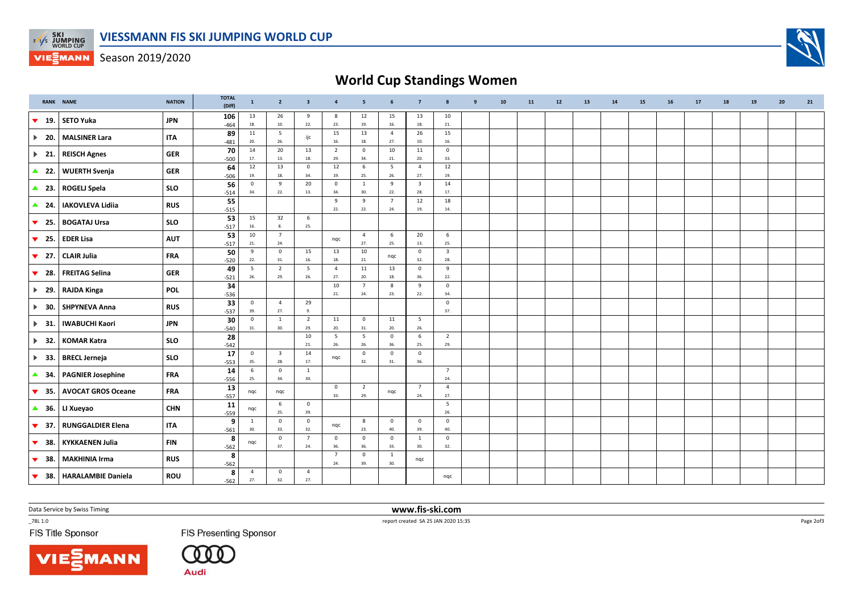

**VIESMANN** Season 2019/2020

## World Cup Standings Women

|                                | <b>RANK NAME</b>          | <b>NATION</b> | <b>TOTAL</b><br>(Diff) | $\mathbf{1}$        | $\overline{2}$             | $\overline{\mathbf{3}}$ | $\overline{a}$        | 5                     | 6                          | $\overline{7}$                 | 8                              | $\mathbf{q}$ | 10 | 11 | 12 | 13 | 14 | 15 | 16 | 17 | 18 | 19 | 20 | 21 |
|--------------------------------|---------------------------|---------------|------------------------|---------------------|----------------------------|-------------------------|-----------------------|-----------------------|----------------------------|--------------------------------|--------------------------------|--------------|----|----|----|----|----|----|----|----|----|----|----|----|
| $\blacktriangledown$<br>19.    | <b>SETO Yuka</b>          | <b>JPN</b>    | 106<br>$-464$          | 13<br>18.           | 26<br>10.                  | 9<br>22.                | 8<br>23.              | 12<br>19.             | 15<br>16.                  | 13<br>18.                      | 10<br>21.                      |              |    |    |    |    |    |    |    |    |    |    |    |    |
| $\blacktriangleright$<br>20.   | <b>MALSINER Lara</b>      | <b>ITA</b>    | 89<br>$-481$           | 11<br>20.           | 5<br>26.                   | ijc                     | 15<br>16.             | 13<br>18.             | $\overline{4}$<br>27.      | 26<br>10.                      | 15<br>16.                      |              |    |    |    |    |    |    |    |    |    |    |    |    |
| $\triangleright$ 21.           | <b>REISCH Agnes</b>       | <b>GER</b>    | 70<br>$-500$           | 14<br>17.           | 20<br>13.                  | 13<br>18.               | $\overline{2}$<br>29. | $\mathbf 0$<br>34.    | 10<br>21.                  | 11<br>20.                      | $\mathbf 0$<br>33.             |              |    |    |    |    |    |    |    |    |    |    |    |    |
| $\blacktriangle$<br>22.        | <b>WUERTH Svenja</b>      | <b>GER</b>    | 64<br>$-506$           | 12<br>19.           | 13<br>18.                  | $\overline{0}$<br>34.   | 12<br>19.             | 6<br>25.              | $5\overline{5}$<br>26.     | $\overline{4}$<br>27.          | 12<br>19.                      |              |    |    |    |    |    |    |    |    |    |    |    |    |
| $\triangle$ 23.                | <b>ROGELJ Spela</b>       | <b>SLO</b>    | 56<br>$-514$           | $\mathsf 0$<br>34.  | 9<br>22.                   | 20<br>13.               | $\mathbf 0$<br>34.    | 1<br>30.              | 9<br>22.                   | $\overline{\mathbf{3}}$<br>28. | 14<br>17.                      |              |    |    |    |    |    |    |    |    |    |    |    |    |
| $\triangle$ 24.                | <b>IAKOVLEVA Lidiia</b>   | <b>RUS</b>    | 55<br>$-515$           |                     |                            |                         | 9<br>22.              | 9<br>22.              | $7\overline{ }$<br>24.     | 12<br>19.                      | 18<br>14.                      |              |    |    |    |    |    |    |    |    |    |    |    |    |
| 25.<br>$\blacktriangledown$    | <b>BOGATAJ Ursa</b>       | <b>SLO</b>    | 53<br>$-517$           | 15<br>16.           | 32<br>8.                   | 6<br>25.                |                       |                       |                            |                                |                                |              |    |    |    |    |    |    |    |    |    |    |    |    |
| 25.<br>▼                       | <b>EDER Lisa</b>          | <b>AUT</b>    | 53<br>$-517$           | 10<br>21.           | $7\overline{ }$<br>24.     |                         | ngc                   | $\overline{4}$<br>27. | 6<br>25.                   | 20<br>13.                      | 6<br>25.                       |              |    |    |    |    |    |    |    |    |    |    |    |    |
| $\blacktriangledown$<br>27.    | <b>CLAIR Julia</b>        | <b>FRA</b>    | 50<br>$-520$           | 9<br>22.            | $\mathsf{O}\xspace$<br>31. | 15<br>16.               | 13<br>18.             | 10<br>21.             | nqc                        | $\mathbf{0}$<br>32.            | $\overline{\mathbf{3}}$<br>28. |              |    |    |    |    |    |    |    |    |    |    |    |    |
| 28.<br>$\blacktriangledown$    | <b>FREITAG Selina</b>     | <b>GER</b>    | 49<br>$-521$           | 5<br>26.            | $\overline{2}$<br>29.      | 5<br>26.                | $\overline{4}$<br>27. | 11<br>20.             | 13<br>$18. \,$             | $\mathbf{0}$<br>36.            | 9<br>22.                       |              |    |    |    |    |    |    |    |    |    |    |    |    |
| $\blacktriangleright$ 29.      | <b>RAJDA Kinga</b>        | <b>POL</b>    | 34                     |                     |                            |                         | 10<br>21.             | $\overline{7}$<br>24. | 8<br>23.                   | 9<br>22.                       | $\mathbf 0$<br>34.             |              |    |    |    |    |    |    |    |    |    |    |    |    |
| $\blacktriangleright$<br>30.   | <b>SHPYNEVA Anna</b>      | <b>RUS</b>    | $-536$<br>33           | $\mathbf{0}$<br>39. | $\overline{4}$<br>27.      | 29<br>9.                |                       |                       |                            |                                | $\mathsf 0$<br>37.             |              |    |    |    |    |    |    |    |    |    |    |    |    |
| 31.<br>$\blacktriangleright$   | <b>IWABUCHI Kaori</b>     | <b>JPN</b>    | $-537$<br>30           | $\mathsf 0$         | <sup>1</sup><br>30.        | $\overline{2}$<br>29.   | 11<br>20.             | $\mathbf 0$           | 11<br>20.                  | $5\phantom{.0}$<br>26.         |                                |              |    |    |    |    |    |    |    |    |    |    |    |    |
| $\blacktriangleright$<br>32.   | <b>KOMAR Katra</b>        | <b>SLO</b>    | $-540$<br>28           | 31.                 |                            | 10                      | 5                     | 31.<br>5              | $\mathbf 0$                | 6                              | $\overline{2}$                 |              |    |    |    |    |    |    |    |    |    |    |    |    |
| $\blacktriangleright$<br>- 33. | <b>BRECL Jerneja</b>      | <b>SLO</b>    | $-542$<br>17           | $\mathbf{0}$        | $\overline{\mathbf{3}}$    | 21.<br>14               | 26.<br>nqc            | 26.<br>$\mathbf 0$    | 36.<br>$\mathbf 0$         | 25.<br>$\mathbf 0$             | 29.                            |              |    |    |    |    |    |    |    |    |    |    |    |    |
| ▲<br>34.                       | <b>PAGNIER Josephine</b>  | <b>FRA</b>    | $-553$<br>14           | 35.<br>$\,$ 6       | 28.<br>$\mathsf{O}$        | 17.<br>$\mathbf{1}$     |                       | 32.                   | 31.                        | 36.                            | $\overline{7}$                 |              |    |    |    |    |    |    |    |    |    |    |    |    |
| 35.<br>$\blacktriangledown$    | <b>AVOCAT GROS Oceane</b> | <b>FRA</b>    | $-556$<br>13           | 25.<br>ngc          | 34.<br>nqc                 | 30.                     | $\mathbf 0$           | $\overline{2}$        | nqc                        | $\overline{7}$                 | 24.<br>$\overline{4}$          |              |    |    |    |    |    |    |    |    |    |    |    |    |
| $\triangle$ 36.                | LI Xueyao                 | <b>CHN</b>    | $-557$<br>11           | nqc                 | 6                          | $\overline{0}$          | 33.                   | 29.                   |                            | 24.                            | 27.<br>$5\phantom{.0}$         |              |    |    |    |    |    |    |    |    |    |    |    |    |
| - 37.<br>$\blacktriangledown$  | <b>RUNGGALDIER Elena</b>  | <b>ITA</b>    | $-559$<br>9            | 1                   | 25.<br>$\mathsf 0$         | 39.<br>$\mathsf 0$      | nqc                   | 8                     | $\mathbf 0$                | $\overline{\mathbf{0}}$        | 26.<br>$\mathsf 0$             |              |    |    |    |    |    |    |    |    |    |    |    |    |
| $\blacktriangledown$<br>38.    | <b>KYKKAENEN Julia</b>    | <b>FIN</b>    | $-561$<br>8            | 30<br>nqc           | 33.<br>$\mathsf 0$         | 32.<br>$7\overline{ }$  | $\mathbf 0$           | 23.<br>$\mathbf 0$    | 40.<br>$\mathsf{O}\xspace$ | 39.<br><sup>1</sup>            | 40.<br>$\mathsf 0$             |              |    |    |    |    |    |    |    |    |    |    |    |    |
| ▼<br>38.                       | <b>MAKHINIA Irma</b>      | <b>RUS</b>    | $-562$<br>8            |                     | 37.                        | 24.                     | 36.<br>$\overline{7}$ | 36.<br>$\mathbf 0$    | 33.<br>$\overline{1}$      | 30.<br>nqc                     | 32.                            |              |    |    |    |    |    |    |    |    |    |    |    |    |
| 38.<br>$\blacktriangledown$    | <b>HARALAMBIE Daniela</b> | <b>ROU</b>    | $-562$<br>8            | $\overline{4}$      | $\mathbf 0$                | $\overline{4}$          | 24.                   | 39.                   | 30.                        |                                | nqc                            |              |    |    |    |    |    |    |    |    |    |    |    |    |
|                                |                           |               | $-562$                 | 27.                 | 32.                        | 27.                     |                       |                       |                            |                                |                                |              |    |    |    |    |    |    |    |    |    |    |    |    |

Data Service by Swiss Timing

**NN** 

 $-78L 1.0$ 

FIS Title Sponsor

**FIS Presenting Sponsor** 

 $(000$ **Audi** 

 www.fis-ski.comreport created SA 25 JAN 2020 15:35

Page 2of3